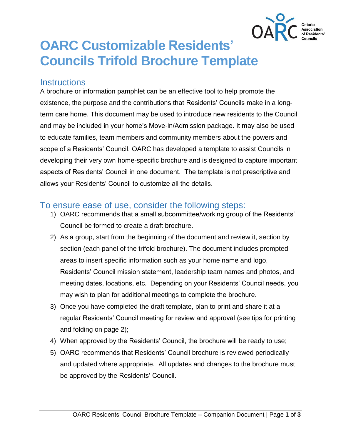

# **OARC Customizable Residents' Councils Trifold Brochure Template**

#### **Instructions**

A brochure or information pamphlet can be an effective tool to help promote the existence, the purpose and the contributions that Residents' Councils make in a longterm care home. This document may be used to introduce new residents to the Council and may be included in your home's Move-in/Admission package. It may also be used to educate families, team members and community members about the powers and scope of a Residents' Council. OARC has developed a template to assist Councils in developing their very own home-specific brochure and is designed to capture important aspects of Residents' Council in one document. The template is not prescriptive and allows your Residents' Council to customize all the details.

#### To ensure ease of use, consider the following steps:

- 1) OARC recommends that a small subcommittee/working group of the Residents' Council be formed to create a draft brochure.
- 2) As a group, start from the beginning of the document and review it, section by section (each panel of the trifold brochure). The document includes prompted areas to insert specific information such as your home name and logo, Residents' Council mission statement, leadership team names and photos, and meeting dates, locations, etc. Depending on your Residents' Council needs, you may wish to plan for additional meetings to complete the brochure.
- 3) Once you have completed the draft template, plan to print and share it at a regular Residents' Council meeting for review and approval (see tips for printing and folding on page 2);
- 4) When approved by the Residents' Council, the brochure will be ready to use;
- 5) OARC recommends that Residents' Council brochure is reviewed periodically and updated where appropriate. All updates and changes to the brochure must be approved by the Residents' Council.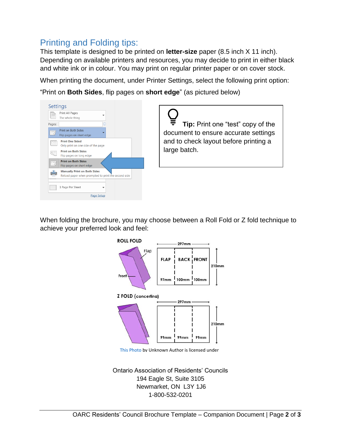### Printing and Folding tips:

This template is designed to be printed on **letter-size** paper (8.5 inch X 11 inch). Depending on available printers and resources, you may decide to print in either black and white ink or in colour. You may print on regular printer paper or on cover stock.

When printing the document, under Printer Settings, select the following print option:

"Print on **Both Sides**, flip pages on **short edge**" (as pictured below)



When folding the brochure, you may choose between a Roll Fold or Z fold technique to achieve your preferred look and feel:



[This Photo](https://graphicdesign.stackexchange.com/questions/97728/how-to-create-an-a4-trifold-brochure) by Unknown Author is licensed under

Ontario Association of Residents' Councils 194 Eagle St, Suite 3105 Newmarket, ON L3Y 1J6 1-800-532-0201